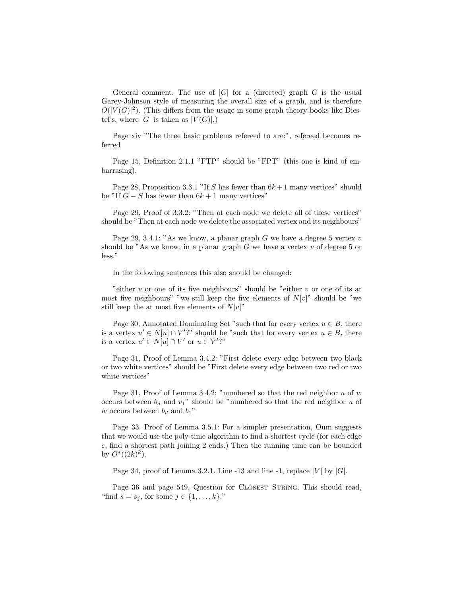General comment. The use of  $|G|$  for a (directed) graph G is the usual Garey-Johnson style of measuring the overall size of a graph, and is therefore  $O(|V(G)|^2)$ . (This differs from the usage in some graph theory books like Diestel's, where  $|G|$  is taken as  $|V(G)|$ .)

Page xiv "The three basic problems refereed to are:", refereed becomes referred

Page 15, Definition 2.1.1 "FTP" should be "FPT" (this one is kind of embarrasing).

Page 28, Proposition 3.3.1 "If S has fewer than  $6k+1$  many vertices" should be "If  $G - S$  has fewer than  $6k + 1$  many vertices"

Page 29, Proof of 3.3.2: "Then at each node we delete all of these vertices" should be "Then at each node we delete the associated vertex and its neighbours"

Page 29, 3.4.1: "As we know, a planar graph G we have a degree 5 vertex  $v$ should be "As we know, in a planar graph  $G$  we have a vertex  $v$  of degree 5 or less."

In the following sentences this also should be changed:

"either  $v$  or one of its five neighbours" should be "either  $v$  or one of its at most five neighbours" "we still keep the five elements of  $N[v]$ " should be "we still keep the at most five elements of  $N[v]$ "

Page 30, Annotated Dominating Set "such that for every vertex  $u \in B$ , there is a vertex  $u' \in N[u] \cap V'$ ?" should be "such that for every vertex  $u \in B$ , there is a vertex  $u' \in N[u] \cap V'$  or  $u \in V'$ ?"

Page 31, Proof of Lemma 3.4.2: "First delete every edge between two black or two white vertices" should be "First delete every edge between two red or two white vertices"

Page 31, Proof of Lemma 3.4.2: "numbered so that the red neighbor  $u$  of  $w$ occurs between  $b_d$  and  $v_1$ " should be "numbered so that the red neighbor u of w occurs between  $b_d$  and  $b_1$ "

Page 33. Proof of Lemma 3.5.1: For a simpler presentation, Oum suggests that we would use the poly-time algorithm to find a shortest cycle (for each edge e, find a shortest path joining 2 ends.) Then the running time can be bounded by  $O^*((2k)^k)$ .

Page 34, proof of Lemma 3.2.1. Line -13 and line -1, replace  $|V|$  by  $|G|$ .

Page 36 and page 549, Question for CLOSEST STRING. This should read, "find  $s = s_j$ , for some  $j \in \{1, \ldots, k\}$ ,"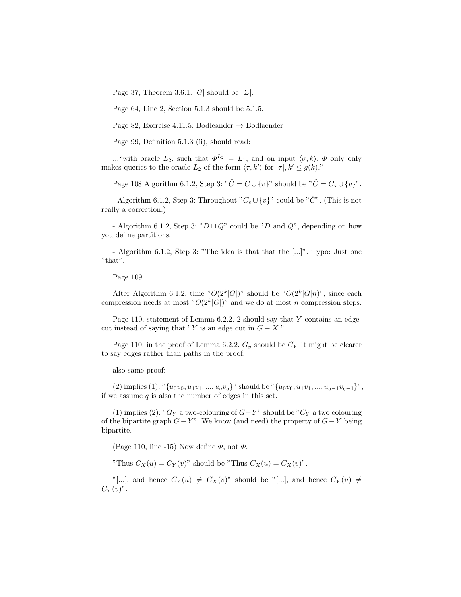Page 37, Theorem 3.6.1. |G| should be  $|\Sigma|$ .

Page 64, Line 2, Section 5.1.3 should be 5.1.5.

Page 82, Exercise 4.11.5: Bodleander  $\rightarrow$  Bodlaender

Page 99, Definition 5.1.3 (ii), should read:

..."with oracle  $L_2$ , such that  $\Phi^{L_2} = L_1$ , and on input  $\langle \sigma, k \rangle$ ,  $\Phi$  only only makes queries to the oracle  $L_2$  of the form  $\langle \tau, k' \rangle$  for  $|\tau|, k' \leq g(k)$ ."

Page 108 Algorithm 6.1.2, Step 3: " $\hat{C} = C \cup \{v\}$ " should be " $\hat{C} = C_s \cup \{v\}$ ".

- Algorithm 6.1.2, Step 3: Throughout " $C_s \cup \{v\}$ " could be " $\hat{C}$ ". (This is not really a correction.)

- Algorithm 6.1.2, Step 3: " $D \sqcup Q$ " could be "D and  $Q$ ", depending on how you define partitions.

- Algorithm 6.1.2, Step 3: "The idea is that that the [...]". Typo: Just one "that".

Page 109

After Algorithm 6.1.2, time " $O(2^k|G|)$ " should be " $O(2^k|G|n)$ ", since each compression needs at most " $O(2^k|G|)$ " and we do at most n compression steps.

Page 110, statement of Lemma 6.2.2. 2 should say that Y contains an edgecut instead of saying that "Y is an edge cut in  $G - X$ ."

Page 110, in the proof of Lemma 6.2.2.  $G_y$  should be  $C_Y$  It might be clearer to say edges rather than paths in the proof.

also same proof:

(2) implies (1): " $\{u_0v_0, u_1v_1, ..., u_qv_q\}$ " should be " $\{u_0v_0, u_1v_1, ..., u_{q-1}v_{q-1}\}$ ", if we assume  $q$  is also the number of edges in this set.

(1) implies (2): " $G_Y$  a two-colouring of  $G-Y$ " should be " $C_Y$  a two colouring of the bipartite graph  $G-Y$ ". We know (and need) the property of  $G-Y$  being bipartite.

(Page 110, line -15) Now define  $\hat{\phi}$ , not  $\Phi$ .

"Thus  $C_X(u) = C_Y(v)$ " should be "Thus  $C_X(u) = C_X(v)$ ".

"[...], and hence  $C_Y(u) \neq C_X(v)$ " should be "[...], and hence  $C_Y(u) \neq$  $C_Y(v)$ ".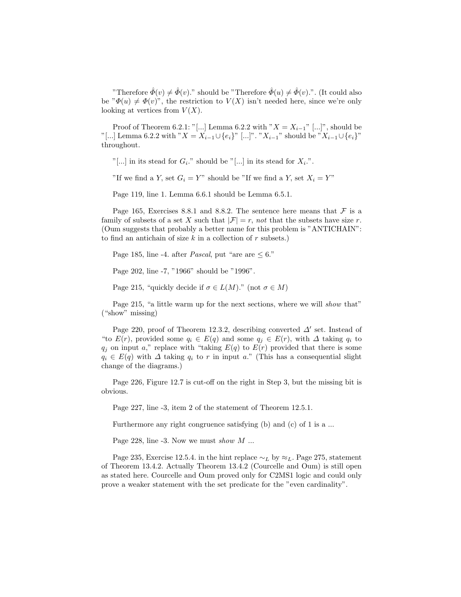"Therefore  $\hat{\Phi}(v) \neq \hat{\Phi}(v)$ ." should be "Therefore  $\hat{\Phi}(u) \neq \hat{\Phi}(v)$ .". (It could also be " $\Phi(u) \neq \Phi(v)$ ", the restriction to  $V(X)$  isn't needed here, since we're only looking at vertices from  $V(X)$ .

Proof of Theorem 6.2.1: "[...] Lemma 6.2.2 with " $X = X_{i-1}$ " [...]", should be "[...] Lemma 6.2.2 with " $X = X_{i-1} \cup \{e_i\}$ " [...]". " $X_{i-1}$ " should be " $X_{i-1} \cup \{e_i\}$ " throughout.

"[...] in its stead for  $G_i$ ." should be "[...] in its stead for  $X_i$ .".

"If we find a Y, set  $G_i = Y$ " should be "If we find a Y, set  $X_i = Y$ "

Page 119, line 1. Lemma 6.6.1 should be Lemma 6.5.1.

Page 165, Exercises 8.8.1 and 8.8.2. The sentence here means that  $\mathcal F$  is a family of subsets of a set X such that  $|\mathcal{F}| = r$ , not that the subsets have size r. (Oum suggests that probably a better name for this problem is "ANTICHAIN": to find an antichain of size  $k$  in a collection of  $r$  subsets.)

Page 185, line -4. after *Pascal*, put "are are  $\leq 6$ ."

Page 202, line -7, "1966" should be "1996".

Page 215, "quickly decide if  $\sigma \in L(M)$ ." (not  $\sigma \in M$ )

Page 215, "a little warm up for the next sections, where we will *show* that" ("show" missing)

Page 220, proof of Theorem 12.3.2, describing converted  $\Delta'$  set. Instead of "to  $E(r)$ , provided some  $q_i \in E(q)$  and some  $q_i \in E(r)$ , with  $\Delta$  taking  $q_i$  to  $q_i$  on input a," replace with "taking  $E(q)$  to  $E(r)$  provided that there is some  $q_i \in E(q)$  with  $\Delta$  taking  $q_i$  to r in input a." (This has a consequential slight change of the diagrams.)

Page 226, Figure 12.7 is cut-off on the right in Step 3, but the missing bit is obvious.

Page 227, line -3, item 2 of the statement of Theorem 12.5.1.

Furthermore any right congruence satisfying (b) and (c) of 1 is a ...

Page 228, line -3. Now we must show  $M$  ...

Page 235, Exercise 12.5.4. in the hint replace  $\sim_L$  by  $\approx_L$ . Page 275, statement of Theorem 13.4.2. Actually Theorem 13.4.2 (Courcelle and Oum) is still open as stated here. Courcelle and Oum proved only for C2MS1 logic and could only prove a weaker statement with the set predicate for the "even cardinality".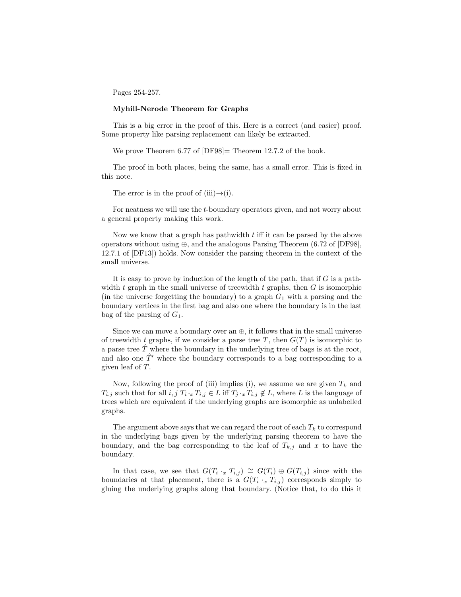Pages 254-257.

## Myhill-Nerode Theorem for Graphs

This is a big error in the proof of this. Here is a correct (and easier) proof. Some property like parsing replacement can likely be extracted.

We prove Theorem 6.77 of [DF98] = Theorem 12.7.2 of the book.

The proof in both places, being the same, has a small error. This is fixed in this note.

The error is in the proof of (iii) $\rightarrow$ (i).

For neatness we will use the t-boundary operators given, and not worry about a general property making this work.

Now we know that a graph has pathwidth t iff it can be parsed by the above operators without using  $\oplus$ , and the analogous Parsing Theorem (6.72 of [DF98], 12.7.1 of [DF13]) holds. Now consider the parsing theorem in the context of the small universe.

It is easy to prove by induction of the length of the path, that if  $G$  is a pathwidth t graph in the small universe of treewidth t graphs, then  $G$  is isomorphic (in the universe forgetting the boundary) to a graph  $G_1$  with a parsing and the boundary vertices in the first bag and also one where the boundary is in the last bag of the parsing of  $G_1$ .

Since we can move a boundary over an  $\oplus$ , it follows that in the small universe of treewidth t graphs, if we consider a parse tree T, then  $G(T)$  is isomorphic to a parse tree  $\hat{T}$  where the boundary in the underlying tree of bags is at the root, and also one  $\hat{T}'$  where the boundary corresponds to a bag corresponding to a given leaf of T.

Now, following the proof of (iii) implies (i), we assume we are given  $T_k$  and  $T_{i,j}$  such that for all  $i, j$   $T_i \cdot_x T_{i,j} \in L$  iff  $T_j \cdot_x T_{i,j} \notin L$ , where L is the language of trees which are equivalent if the underlying graphs are isomorphic as unlabelled graphs.

The argument above says that we can regard the root of each  $T_k$  to correspond in the underlying bags given by the underlying parsing theorem to have the boundary, and the bag corresponding to the leaf of  $T_{k,j}$  and x to have the boundary.

In that case, we see that  $G(T_i \cdot_x T_{i,j}) \cong G(T_i) \oplus G(T_{i,j})$  since with the boundaries at that placement, there is a  $G(T_i \cdot_x T_{i,j})$  corresponds simply to gluing the underlying graphs along that boundary. (Notice that, to do this it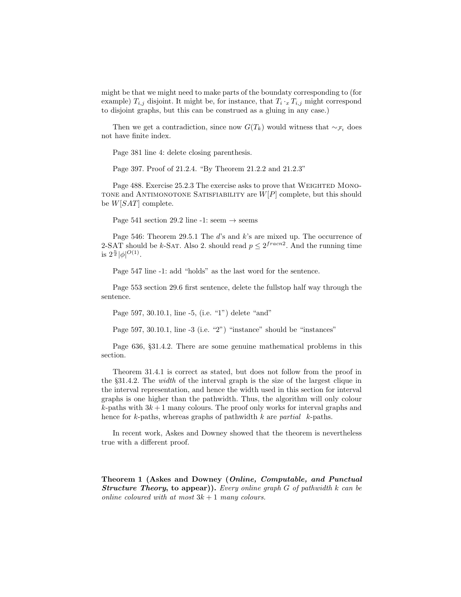might be that we might need to make parts of the boundaty corresponding to (for example)  $T_{i,j}$  disjoint. It might be, for instance, that  $T_i \cdot_x T_{i,j}$  might correspond to disjoint graphs, but this can be construed as a gluing in any case.)

Then we get a contradiction, since now  $G(T_k)$  would witness that  $\sim_{\mathcal{F}_t}$  does not have finite index.

Page 381 line 4: delete closing parenthesis.

Page 397. Proof of 21.2.4. "By Theorem 21.2.2 and 21.2.3"

Page 488. Exercise 25.2.3 The exercise asks to prove that WEIGHTED MONO-TONE and ANTIMONOTONE SATISFIABILITY are  $W[P]$  complete, but this should be W[SAT] complete.

Page 541 section 29.2 line -1: seem  $\rightarrow$  seems

Page 546: Theorem 29.5.1 The d's and k's are mixed up. The occurrence of 2-SAT should be k-SAT. Also 2. should read  $p \leq 2^{frac{r}{2}}$ . And the running time is  $2^{\frac{n}{d}}|\phi|^{O(1)}$ .

Page 547 line -1: add "holds" as the last word for the sentence.

Page 553 section 29.6 first sentence, delete the fullstop half way through the sentence.

Page 597, 30.10.1, line -5, (i.e. "1") delete "and"

Page 597, 30.10.1, line -3 (i.e. "2") "instance" should be "instances"

Page 636, §31.4.2. There are some genuine mathematical problems in this section.

Theorem 31.4.1 is correct as stated, but does not follow from the proof in the §31.4.2. The width of the interval graph is the size of the largest clique in the interval representation, and hence the width used in this section for interval graphs is one higher than the pathwidth. Thus, the algorithm will only colour  $k$ -paths with  $3k+1$  many colours. The proof only works for interval graphs and hence for k-paths, whereas graphs of pathwidth  $k$  are partial  $k$ -paths.

In recent work, Askes and Downey showed that the theorem is nevertheless true with a different proof.

Theorem 1 (Askes and Downey (Online, Computable, and Punctual **Structure Theory, to appear)).** Every online graph  $G$  of pathwidth  $k$  can be online coloured with at most  $3k + 1$  many colours.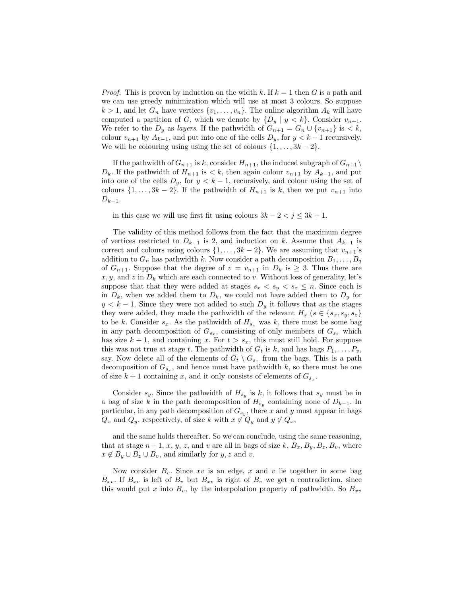*Proof.* This is proven by induction on the width k. If  $k = 1$  then G is a path and we can use greedy minimization which will use at most 3 colours. So suppose  $k > 1$ , and let  $G_n$  have vertices  $\{v_1, \ldots, v_n\}$ . The online algorithm  $A_k$  will have computed a partition of G, which we denote by  $\{D_y \mid y \leq k\}$ . Consider  $v_{n+1}$ . We refer to the  $D_y$  as *layers*. If the pathwidth of  $G_{n+1} = G_n \cup \{v_{n+1}\}\$ is < k, colour  $v_{n+1}$  by  $A_{k-1}$ , and put into one of the cells  $D_y$ , for  $y < k-1$  recursively. We will be colouring using using the set of colours  $\{1, \ldots, 3k-2\}$ .

If the pathwidth of  $G_{n+1}$  is k, consider  $H_{n+1}$ , the induced subgraph of  $G_{n+1} \setminus$  $D_k$ . If the pathwidth of  $H_{n+1}$  is  $\lt k$ , then again colour  $v_{n+1}$  by  $A_{k-1}$ , and put into one of the cells  $D_y$ , for  $y < k - 1$ , recursively, and colour using the set of colours  $\{1, \ldots, 3k-2\}$ . If the pathwidth of  $H_{n+1}$  is k, then we put  $v_{n+1}$  into  $D_{k-1}$ .

in this case we will use first fit using colours  $3k - 2 < j \leq 3k + 1$ .

The validity of this method follows from the fact that the maximum degree of vertices restricted to  $D_{k-1}$  is 2, and induction on k. Assume that  $A_{k-1}$  is correct and colours using colours  $\{1, \ldots, 3k-2\}$ . We are assuming that  $v_{n+1}$ 's addition to  $G_n$  has pathwidth k. Now consider a path decomposition  $B_1, \ldots, B_q$ of  $G_{n+1}$ . Suppose that the degree of  $v = v_{n+1}$  in  $D_k$  is  $\geq 3$ . Thus there are  $x, y$ , and z in  $D_k$  which are each connected to v. Without loss of generality, let's suppose that that they were added at stages  $s_x < s_y < s_z \le n$ . Since each is in  $D_k$ , when we added them to  $D_k$ , we could not have added them to  $D_y$  for  $y < k - 1$ . Since they were not added to such  $D<sub>y</sub>$  it follows that as the stages they were added, they made the pathwidth of the relevant  $H_s$  ( $s \in \{s_x, s_y, s_z\}$ ) to be k. Consider  $s_x$ . As the pathwidth of  $H_{s_x}$  was k, there must be some bag in any path decomposition of  $G_{s_x}$ , comsisting of only members of  $G_{s_x}$  which has size  $k + 1$ , and containing x. For  $t > s_x$ , this must still hold. For suppose this was not true at stage t. The pathwidth of  $G_t$  is k, and has bags  $P_1, \ldots, P_v$ , say. Now delete all of the elements of  $G_t \setminus G_{s_x}$  from the bags. This is a path decomposition of  $G_{s_x}$ , and hence must have pathwidth k, so there must be one of size  $k+1$  containing x, and it only consists of elements of  $G_{s_x}$ .

Consider  $s_y$ . Since the pathwidth of  $H_{s_y}$  is k, it follows that  $s_y$  must be in a bag of size k in the path decomposition of  $H_{s_y}$  containing none of  $D_{k-1}$ . In particular, in any path decomposition of  $G_{s_y}$ , there x and y must appear in bags  $Q_x$  and  $Q_y$ , respectively, of size k with  $x \notin Q_y$  and  $y \notin Q_x$ ,

and the same holds thereafter. So we can conclude, using the same reasoning, that at stage  $n+1$ , x, y, z, and v are all in bags of size k,  $B_x$ ,  $B_y$ ,  $B_z$ ,  $B_v$ , where  $x \notin B_y \cup B_z \cup B_v$ , and similarly for  $y, z$  and v.

Now consider  $B_v$ . Since xv is an edge, x and v lie together in some bag  $B_{xv}$ . If  $B_{xv}$  is left of  $B_v$  but  $B_{xv}$  is right of  $B_v$  we get a contradiction, since this would put x into  $B_v$ , by the interpolation property of pathwidth. So  $B_{xv}$